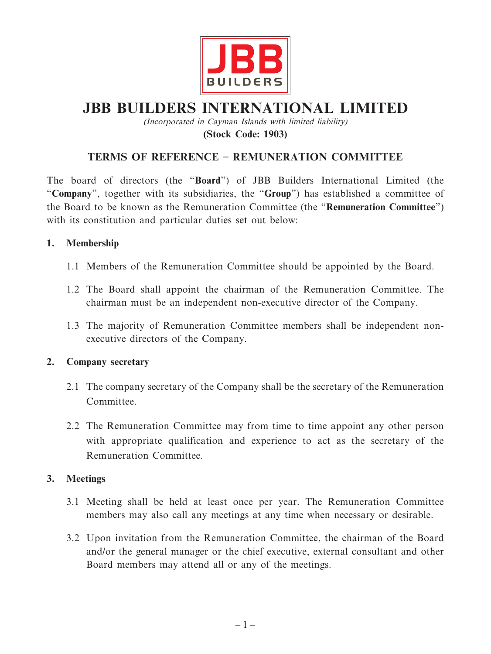

# **JBB BUILDERS INTERNATIONAL LIMITED**

(Incorporated in Cayman Islands with limited liability) **(Stock Code: 1903)**

# **TERMS OF REFERENCE – REMUNERATION COMMITTEE**

The board of directors (the "**Board**") of JBB Builders International Limited (the "**Company**", together with its subsidiaries, the "**Group**") has established a committee of the Board to be known as the Remuneration Committee (the "**Remuneration Committee**") with its constitution and particular duties set out below:

## **1. Membership**

- 1.1 Members of the Remuneration Committee should be appointed by the Board.
- 1.2 The Board shall appoint the chairman of the Remuneration Committee. The chairman must be an independent non-executive director of the Company.
- 1.3 The majority of Remuneration Committee members shall be independent nonexecutive directors of the Company.

#### **2. Company secretary**

- 2.1 The company secretary of the Company shall be the secretary of the Remuneration Committee.
- 2.2 The Remuneration Committee may from time to time appoint any other person with appropriate qualification and experience to act as the secretary of the Remuneration Committee.

#### **3. Meetings**

- 3.1 Meeting shall be held at least once per year. The Remuneration Committee members may also call any meetings at any time when necessary or desirable.
- 3.2 Upon invitation from the Remuneration Committee, the chairman of the Board and/or the general manager or the chief executive, external consultant and other Board members may attend all or any of the meetings.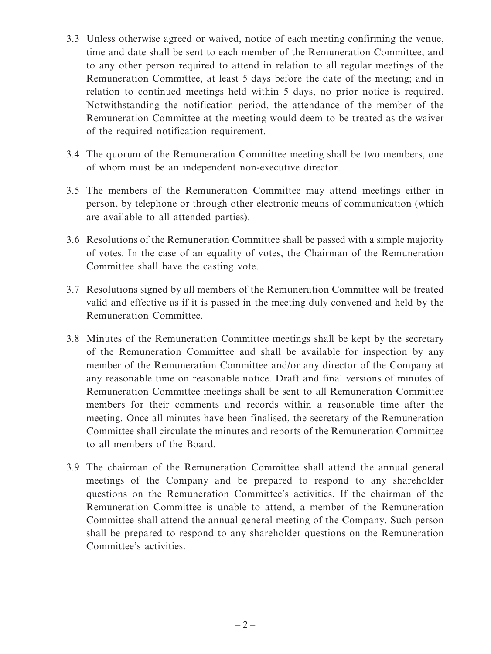- 3.3 Unless otherwise agreed or waived, notice of each meeting confirming the venue, time and date shall be sent to each member of the Remuneration Committee, and to any other person required to attend in relation to all regular meetings of the Remuneration Committee, at least 5 days before the date of the meeting; and in relation to continued meetings held within 5 days, no prior notice is required. Notwithstanding the notification period, the attendance of the member of the Remuneration Committee at the meeting would deem to be treated as the waiver of the required notification requirement.
- 3.4 The quorum of the Remuneration Committee meeting shall be two members, one of whom must be an independent non-executive director.
- 3.5 The members of the Remuneration Committee may attend meetings either in person, by telephone or through other electronic means of communication (which are available to all attended parties).
- 3.6 Resolutions of the Remuneration Committee shall be passed with a simple majority of votes. In the case of an equality of votes, the Chairman of the Remuneration Committee shall have the casting vote.
- 3.7 Resolutions signed by all members of the Remuneration Committee will be treated valid and effective as if it is passed in the meeting duly convened and held by the Remuneration Committee.
- 3.8 Minutes of the Remuneration Committee meetings shall be kept by the secretary of the Remuneration Committee and shall be available for inspection by any member of the Remuneration Committee and/or any director of the Company at any reasonable time on reasonable notice. Draft and final versions of minutes of Remuneration Committee meetings shall be sent to all Remuneration Committee members for their comments and records within a reasonable time after the meeting. Once all minutes have been finalised, the secretary of the Remuneration Committee shall circulate the minutes and reports of the Remuneration Committee to all members of the Board.
- 3.9 The chairman of the Remuneration Committee shall attend the annual general meetings of the Company and be prepared to respond to any shareholder questions on the Remuneration Committee's activities. If the chairman of the Remuneration Committee is unable to attend, a member of the Remuneration Committee shall attend the annual general meeting of the Company. Such person shall be prepared to respond to any shareholder questions on the Remuneration Committee's activities.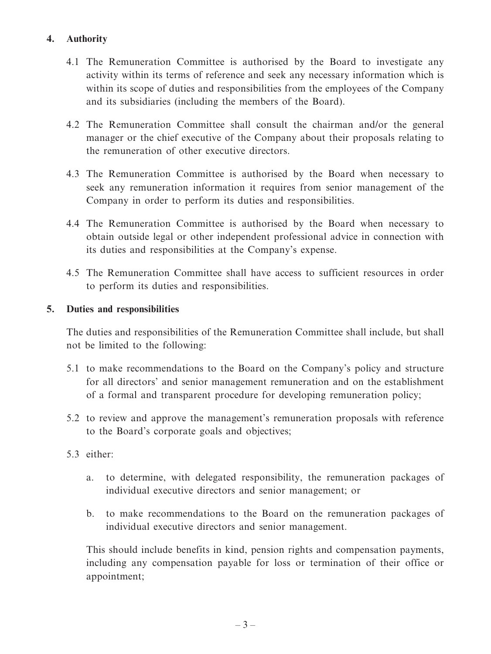# **4. Authority**

- 4.1 The Remuneration Committee is authorised by the Board to investigate any activity within its terms of reference and seek any necessary information which is within its scope of duties and responsibilities from the employees of the Company and its subsidiaries (including the members of the Board).
- 4.2 The Remuneration Committee shall consult the chairman and/or the general manager or the chief executive of the Company about their proposals relating to the remuneration of other executive directors.
- 4.3 The Remuneration Committee is authorised by the Board when necessary to seek any remuneration information it requires from senior management of the Company in order to perform its duties and responsibilities.
- 4.4 The Remuneration Committee is authorised by the Board when necessary to obtain outside legal or other independent professional advice in connection with its duties and responsibilities at the Company's expense.
- 4.5 The Remuneration Committee shall have access to sufficient resources in order to perform its duties and responsibilities.

## **5. Duties and responsibilities**

The duties and responsibilities of the Remuneration Committee shall include, but shall not be limited to the following:

- 5.1 to make recommendations to the Board on the Company's policy and structure for all directors' and senior management remuneration and on the establishment of a formal and transparent procedure for developing remuneration policy;
- 5.2 to review and approve the management's remuneration proposals with reference to the Board's corporate goals and objectives;
- 5.3 either:
	- a. to determine, with delegated responsibility, the remuneration packages of individual executive directors and senior management; or
	- b. to make recommendations to the Board on the remuneration packages of individual executive directors and senior management.

This should include benefits in kind, pension rights and compensation payments, including any compensation payable for loss or termination of their office or appointment;